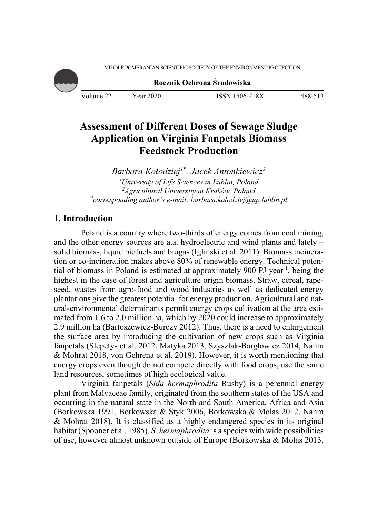MIDDLE POMERANIAN SCIENTIFIC SOCIETY OF THE ENVIRONMENT PROTECTION



**Rocznik Ochrona Środowiska**

| - 77<br>Volume<br><u>LL.</u> | 2020<br>ear | 1506-218X |  |
|------------------------------|-------------|-----------|--|

# **Assessment of Different Doses of Sewage Sludge Application on Virginia Fanpetals Biomass Feedstock Production**

*Barbara Kołodziej1\*, Jacek Antonkiewicz2 1 University of Life Sciences in Lublin, Poland 2 Agricultural University in Kraków, Poland \* corresponding author's e-mail: barbara.kolodziej@up.lublin.pl* 

# **1. Introduction**

Poland is a country where two-thirds of energy comes from coal mining, and the other energy sources are a.a. hydroelectric and wind plants and lately – solid biomass, liquid biofuels and biogas (Igliński et al. 2011). Biomass incineration or co-incineration makes above 80% of renewable energy. Technical potential of biomass in Poland is estimated at approximately 900 PJ year-1, being the highest in the case of forest and agriculture origin biomass. Straw, cereal, rapeseed, wastes from agro-food and wood industries as well as dedicated energy plantations give the greatest potential for energy production. Agricultural and natural-environmental determinants permit energy crops cultivation at the area estimated from 1.6 to 2.0 million ha, which by 2020 could increase to approximately 2.9 million ha (Bartoszewicz-Burczy 2012). Thus, there is a need to enlargement the surface area by introducing the cultivation of new crops such as Virginia fanpetals (Slepetys et al. 2012, Matyka 2013, Szyszlak-Bargłowicz 2014, Nahm & Mohrat 2018, von Gehrena et al. 2019). However, it is worth mentioning that energy crops even though do not compete directly with food crops, use the same land resources, sometimes of high ecological value.

Virginia fanpetals (*Sida hermaphrodita* Rusby) is a perennial energy plant from Malvaceae family, originated from the southern states of the USA and occurring in the natural state in the North and South America, Africa and Asia (Borkowska 1991, Borkowska & Styk 2006, Borkowska & Molas 2012, Nahm & Mohrat 2018). It is classified as a highly endangered species in its original habitat (Spooner et al. 1985). *S. hermaphrodita* is a species with wide possibilities of use, however almost unknown outside of Europe (Borkowska & Molas 2013,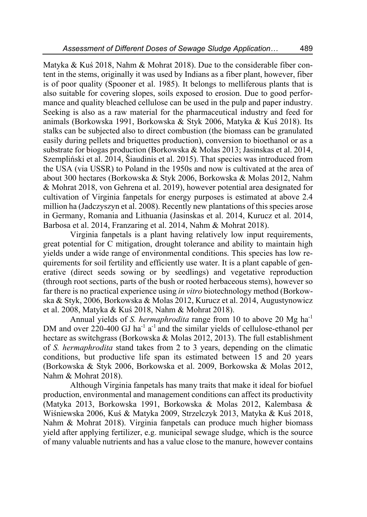Matyka & Kuś 2018, Nahm & Mohrat 2018). Due to the considerable fiber content in the stems, originally it was used by Indians as a fiber plant, however, fiber is of poor quality (Spooner et al. 1985). It belongs to melliferous plants that is also suitable for covering slopes, soils exposed to erosion. Due to good performance and quality bleached cellulose can be used in the pulp and paper industry. Seeking is also as a raw material for the pharmaceutical industry and feed for animals (Borkowska 1991, Borkowska & Styk 2006, Matyka & Kuś 2018). Its stalks can be subjected also to direct combustion (the biomass can be granulated easily during pellets and briquettes production), conversion to bioethanol or as a substrate for biogas production (Borkowska & Molas 2013; Jasinskas et al. 2014, Szempliński et al. 2014, Šiaudinis et al. 2015). That species was introduced from the USA (via USSR) to Poland in the 1950s and now is cultivated at the area of about 300 hectares (Borkowska & Styk 2006, Borkowska & Molas 2012, Nahm & Mohrat 2018, von Gehrena et al. 2019), however potential area designated for cultivation of Virginia fanpetals for energy purposes is estimated at above 2.4 million ha (Jadczyszyn et al. 2008). Recently new plantations of this species arose in Germany, Romania and Lithuania (Jasinskas et al. 2014, Kurucz et al. 2014, Barbosa et al. 2014, Franzaring et al. 2014, Nahm & Mohrat 2018).

Virginia fanpetals is a plant having relatively low input requirements, great potential for C mitigation, drought tolerance and ability to maintain high yields under a wide range of environmental conditions. This species has low requirements for soil fertility and efficiently use water. It is a plant capable of generative (direct seeds sowing or by seedlings) and vegetative reproduction (through root sections, parts of the bush or rooted herbaceous stems), however so far there is no practical experience using *in vitro* biotechnology method (Borkowska & Styk, 2006, Borkowska & Molas 2012, Kurucz et al. 2014, Augustynowicz et al. 2008, Matyka & Kuś 2018, Nahm & Mohrat 2018).

Annual yields of *S. hermaphrodita* range from 10 to above 20 Mg ha<sup>-1</sup> DM and over  $220-400$  GJ ha<sup>-1</sup> a<sup>-1</sup> and the similar yields of cellulose-ethanol per hectare as switchgrass (Borkowska & Molas 2012, 2013). The full establishment of *S. hermaphrodita* stand takes from 2 to 3 years, depending on the climatic conditions, but productive life span its estimated between 15 and 20 years (Borkowska & Styk 2006, Borkowska et al. 2009, Borkowska & Molas 2012, Nahm & Mohrat 2018).

Although Virginia fanpetals has many traits that make it ideal for biofuel production, environmental and management conditions can affect its productivity (Matyka 2013, Borkowska 1991, Borkowska & Molas 2012, Kalembasa & Wiśniewska 2006, Kuś & Matyka 2009, Strzelczyk 2013, Matyka & Kuś 2018, Nahm & Mohrat 2018). Virginia fanpetals can produce much higher biomass yield after applying fertilizer, e.g. municipal sewage sludge, which is the source of many valuable nutrients and has a value close to the manure, however contains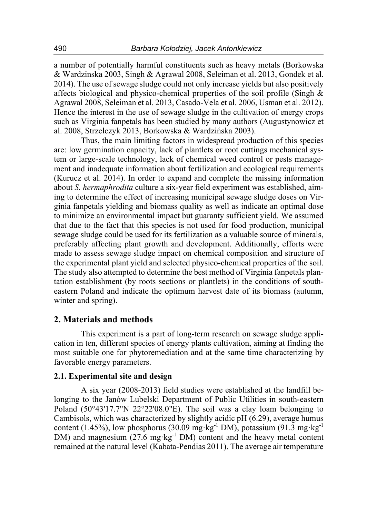a number of potentially harmful constituents such as heavy metals (Borkowska & Wardzinska 2003, Singh & Agrawal 2008, Seleiman et al. 2013, Gondek et al. 2014). The use of sewage sludge could not only increase yields but also positively affects biological and physico-chemical properties of the soil profile (Singh & Agrawal 2008, Seleiman et al. 2013, Casado-Vela et al. 2006, Usman et al. 2012). Hence the interest in the use of sewage sludge in the cultivation of energy crops such as Virginia fanpetals has been studied by many authors (Augustynowicz et al. 2008, Strzelczyk 2013, Borkowska & Wardzińska 2003).

Thus, the main limiting factors in widespread production of this species are: low germination capacity, lack of plantlets or root cuttings mechanical system or large-scale technology, lack of chemical weed control or pests management and inadequate information about fertilization and ecological requirements (Kurucz et al. 2014). In order to expand and complete the missing information about *S. hermaphrodita* culture a six-year field experiment was established, aiming to determine the effect of increasing municipal sewage sludge doses on Virginia fanpetals yielding and biomass quality as well as indicate an optimal dose to minimize an environmental impact but guaranty sufficient yield. We assumed that due to the fact that this species is not used for food production, municipal sewage sludge could be used for its fertilization as a valuable source of minerals, preferably affecting plant growth and development. Additionally, efforts were made to assess sewage sludge impact on chemical composition and structure of the experimental plant yield and selected physico-chemical properties of the soil. The study also attempted to determine the best method of Virginia fanpetals plantation establishment (by roots sections or plantlets) in the conditions of southeastern Poland and indicate the optimum harvest date of its biomass (autumn, winter and spring).

### **2. Materials and methods**

This experiment is a part of long-term research on sewage sludge application in ten, different species of energy plants cultivation, aiming at finding the most suitable one for phytoremediation and at the same time characterizing by favorable energy parameters.

### **2.1. Experimental site and design**

A six year (2008-2013) field studies were established at the landfill belonging to the Janów Lubelski Department of Public Utilities in south-eastern Poland (50°43'17.7"N 22°22'08.0"E). The soil was a clay loam belonging to Cambisols, which was characterized by slightly acidic pH (6.29), average humus content (1.45%), low phosphorus (30.09 mg·kg<sup>-1</sup> DM), potassium (91.3 mg·kg<sup>-1</sup>) DM) and magnesium  $(27.6 \text{ mg} \cdot \text{kg}^{-1} \text{ DM})$  content and the heavy metal content remained at the natural level (Kabata-Pendias 2011). The average air temperature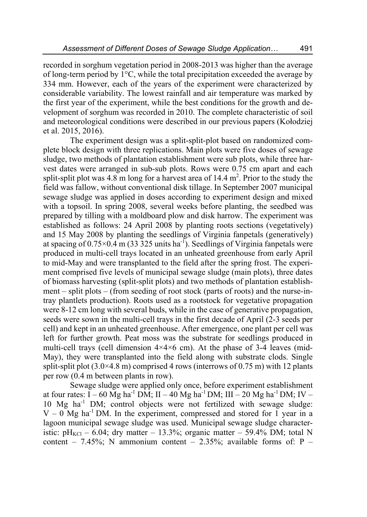recorded in sorghum vegetation period in 2008-2013 was higher than the average of long-term period by 1°C, while the total precipitation exceeded the average by 334 mm. However, each of the years of the experiment were characterized by considerable variability. The lowest rainfall and air temperature was marked by the first year of the experiment, while the best conditions for the growth and development of sorghum was recorded in 2010. The complete characteristic of soil and meteorological conditions were described in our previous papers (Kołodziej et al. 2015, 2016).

The experiment design was a split-split-plot based on randomized complete block design with three replications. Main plots were five doses of sewage sludge, two methods of plantation establishment were sub plots, while three harvest dates were arranged in sub-sub plots. Rows were 0.75 cm apart and each split-split plot was  $4.8 \text{ m}$  long for a harvest area of  $14.4 \text{ m}^2$ . Prior to the study the field was fallow, without conventional disk tillage. In September 2007 municipal sewage sludge was applied in doses according to experiment design and mixed with a topsoil. In spring 2008, several weeks before planting, the seedbed was prepared by tilling with a moldboard plow and disk harrow. The experiment was established as follows: 24 April 2008 by planting roots sections (vegetatively) and 15 May 2008 by planting the seedlings of Virginia fanpetals (generatively) at spacing of  $0.75 \times 0.4$  m (33 325 units ha<sup>-1</sup>). Seedlings of Virginia fanpetals were produced in multi-cell trays located in an unheated greenhouse from early April to mid-May and were transplanted to the field after the spring frost. The experiment comprised five levels of municipal sewage sludge (main plots), three dates of biomass harvesting (split-split plots) and two methods of plantation establishment – split plots – (from seeding of root stock (parts of roots) and the nurse-intray plantlets production). Roots used as a rootstock for vegetative propagation were 8-12 cm long with several buds, while in the case of generative propagation, seeds were sown in the multi-cell trays in the first decade of April (2-3 seeds per cell) and kept in an unheated greenhouse. After emergence, one plant per cell was left for further growth. Peat moss was the substrate for seedlings produced in multi-cell trays (cell dimension  $4\times4\times6$  cm). At the phase of 3-4 leaves (mid-May), they were transplanted into the field along with substrate clods. Single split-split plot  $(3.0\times4.8 \text{ m})$  comprised 4 rows (interrows of 0.75 m) with 12 plants per row (0.4 m between plants in row).

Sewage sludge were applied only once, before experiment establishment at four rates: I – 60 Mg ha<sup>-1</sup> DM; II – 40 Mg ha<sup>-1</sup> DM; III – 20 Mg ha<sup>-1</sup> DM; IV – 10 Mg ha-1 DM; control objects were not fertilized with sewage sludge:  $V - 0$  Mg ha<sup>-1</sup> DM. In the experiment, compressed and stored for 1 year in a lagoon municipal sewage sludge was used. Municipal sewage sludge characteristic:  $pH_{\text{KCl}}$  – 6.04; dry matter – 13.3%; organic matter – 59.4% DM; total N content – 7.45%; N ammonium content – 2.35%; available forms of:  $P$  –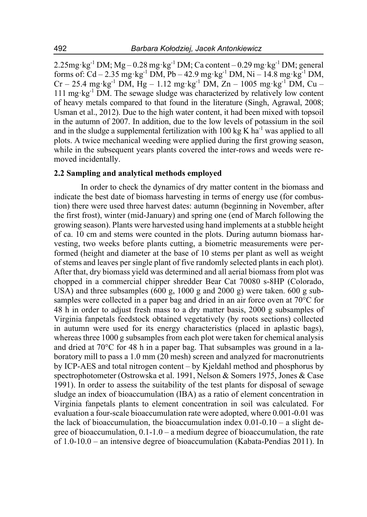$2.25$ mg⋅kg<sup>-1</sup> DM; Mg – 0.28 mg⋅kg<sup>-1</sup> DM; Ca content – 0.29 mg⋅kg<sup>-1</sup> DM; general forms of:  $Cd - 2.35$  mg·kg<sup>-1</sup> DM,  $Pb - 42.9$  mg·kg<sup>-1</sup> DM,  $Ni - 14.8$  mg·kg<sup>-1</sup> DM,  $Cr - 25.4$  mg·kg<sup>-1</sup> DM,  $Hg - 1.12$  mg·kg<sup>-1</sup> DM,  $Zn - 1005$  mg·kg<sup>-1</sup> DM,  $Cu -$ 111 mgꞏkg-1 DM. The sewage sludge was characterized by relatively low content of heavy metals compared to that found in the literature (Singh, Agrawal, 2008; Usman et al., 2012). Due to the high water content, it had been mixed with topsoil in the autumn of 2007. In addition, due to the low levels of potassium in the soil and in the sludge a supplemental fertilization with 100 kg K  $ha^{-1}$  was applied to all plots. A twice mechanical weeding were applied during the first growing season, while in the subsequent years plants covered the inter-rows and weeds were removed incidentally.

### **2.2 Sampling and analytical methods employed**

In order to check the dynamics of dry matter content in the biomass and indicate the best date of biomass harvesting in terms of energy use (for combustion) there were used three harvest dates: autumn (beginning in November, after the first frost), winter (mid-January) and spring one (end of March following the growing season). Plants were harvested using hand implements at a stubble height of ca. 10 cm and stems were counted in the plots. During autumn biomass harvesting, two weeks before plants cutting, a biometric measurements were performed (height and diameter at the base of 10 stems per plant as well as weight of stems and leaves per single plant of five randomly selected plants in each plot). After that, dry biomass yield was determined and all aerial biomass from plot was chopped in a commercial chipper shredder Bear Cat 70080 s-8HP (Colorado, USA) and three subsamples (600 g, 1000 g and 2000 g) were taken. 600 g subsamples were collected in a paper bag and dried in an air force oven at 70°C for 48 h in order to adjust fresh mass to a dry matter basis, 2000 g subsamples of Virginia fanpetals feedstock obtained vegetatively (by roots sections) collected in autumn were used for its energy characteristics (placed in aplastic bags), whereas three 1000 g subsamples from each plot were taken for chemical analysis and dried at 70°C for 48 h in a paper bag. That subsamples was ground in a laboratory mill to pass a 1.0 mm (20 mesh) screen and analyzed for macronutrients by ICP-AES and total nitrogen content – by Kjeldahl method and phosphorus by spectrophotometer (Ostrowska et al. 1991, Nelson & Somers 1975, Jones & Case 1991). In order to assess the suitability of the test plants for disposal of sewage sludge an index of bioaccumulation (IBA) as a ratio of element concentration in Virginia fanpetals plants to element concentration in soil was calculated. For evaluation a four-scale bioaccumulation rate were adopted, where 0.001-0.01 was the lack of bioaccumulation, the bioaccumulation index  $0.01$ - $0.10$  – a slight degree of bioaccumulation, 0.1-1.0 – a medium degree of bioaccumulation, the rate of 1.0-10.0 – an intensive degree of bioaccumulation (Kabata-Pendias 2011). In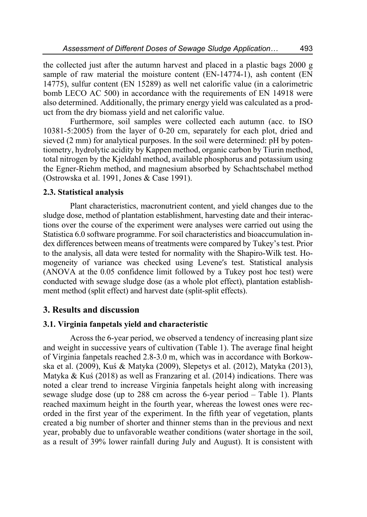the collected just after the autumn harvest and placed in a plastic bags 2000 g sample of raw material the moisture content (EN-14774-1), ash content (EN 14775), sulfur content (EN 15289) as well net calorific value (in a calorimetric bomb LECO AC 500) in accordance with the requirements of EN 14918 were also determined. Additionally, the primary energy yield was calculated as a product from the dry biomass yield and net calorific value.

Furthermore, soil samples were collected each autumn (acc. to ISO 10381-5:2005) from the layer of 0-20 cm, separately for each plot, dried and sieved (2 mm) for analytical purposes. In the soil were determined: pH by potentiometry, hydrolytic acidity by Kappen method, organic carbon by Tiurin method, total nitrogen by the Kjeldahl method, available phosphorus and potassium using the Egner-Riehm method, and magnesium absorbed by Schachtschabel method (Ostrowska et al. 1991, Jones & Case 1991).

### **2.3. Statistical analysis**

Plant characteristics, macronutrient content, and yield changes due to the sludge dose, method of plantation establishment, harvesting date and their interactions over the course of the experiment were analyses were carried out using the Statistica 6.0 software programme. For soil characteristics and bioaccumulation index differences between means of treatments were compared by Tukey's test. Prior to the analysis, all data were tested for normality with the Shapiro-Wilk test. Homogeneity of variance was checked using Levene′s test. Statistical analysis (ANOVA at the 0.05 confidence limit followed by a Tukey post hoc test) were conducted with sewage sludge dose (as a whole plot effect), plantation establishment method (split effect) and harvest date (split-split effects).

# **3. Results and discussion**

## **3.1. Virginia fanpetals yield and characteristic**

Across the 6-year period, we observed a tendency of increasing plant size and weight in successive years of cultivation (Table 1). The average final height of Virginia fanpetals reached 2.8-3.0 m, which was in accordance with Borkowska et al. (2009), Kuś & Matyka (2009), Slepetys et al. (2012), Matyka (2013), Matyka & Kuś (2018) as well as Franzaring et al. (2014) indications. There was noted a clear trend to increase Virginia fanpetals height along with increasing sewage sludge dose (up to 288 cm across the 6-year period – Table 1). Plants reached maximum height in the fourth year, whereas the lowest ones were recorded in the first year of the experiment. In the fifth year of vegetation, plants created a big number of shorter and thinner stems than in the previous and next year, probably due to unfavorable weather conditions (water shortage in the soil, as a result of 39% lower rainfall during July and August). It is consistent with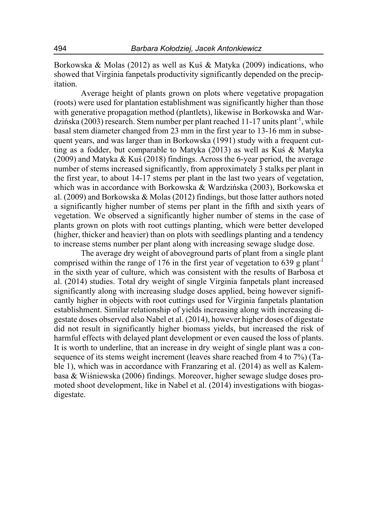Borkowska & Molas (2012) as well as Kuś & Matyka (2009) indications, who showed that Virginia fanpetals productivity significantly depended on the precipitation.

Average height of plants grown on plots where vegetative propagation (roots) were used for plantation establishment was significantly higher than those with generative propagation method (plantlets), likewise in Borkowska and Wardzińska (2003) research. Stem number per plant reached 11-17 units plant<sup>-1</sup>, while basal stem diameter changed from 23 mm in the first year to 13-16 mm in subsequent years, and was larger than in Borkowska (1991) study with a frequent cutting as a fodder, but comparable to Matyka (2013) as well as Kuś & Matyka (2009) and Matyka & Kuś (2018) findings. Across the 6-year period, the average number of stems increased significantly, from approximately 3 stalks per plant in the first year, to about 14-17 stems per plant in the last two years of vegetation, which was in accordance with Borkowska & Wardzińska (2003), Borkowska et al. (2009) and Borkowska & Molas (2012) findings, but those latter authors noted a significantly higher number of stems per plant in the fifth and sixth years of vegetation. We observed a significantly higher number of stems in the case of plants grown on plots with root cuttings planting, which were better developed (higher, thicker and heavier) than on plots with seedlings planting and a tendency to increase stems number per plant along with increasing sewage sludge dose.

The average dry weight of aboveground parts of plant from a single plant comprised within the range of 176 in the first year of vegetation to 639 g plant<sup>-1</sup> in the sixth year of culture, which was consistent with the results of Barbosa et al. (2014) studies. Total dry weight of single Virginia fanpetals plant increased significantly along with increasing sludge doses applied, being however significantly higher in objects with root cuttings used for Virginia fanpetals plantation establishment. Similar relationship of yields increasing along with increasing digestate doses observed also Nabel et al. (2014), however higher doses of digestate did not result in significantly higher biomass yields, but increased the risk of harmful effects with delayed plant development or even caused the loss of plants. It is worth to underline, that an increase in dry weight of single plant was a consequence of its stems weight increment (leaves share reached from 4 to 7%) (Table 1), which was in accordance with Franzaring et al. (2014) as well as Kalembasa & Wiśniewska (2006) findings. Moreover, higher sewage sludge doses promoted shoot development, like in Nabel et al. (2014) investigations with biogasdigestate.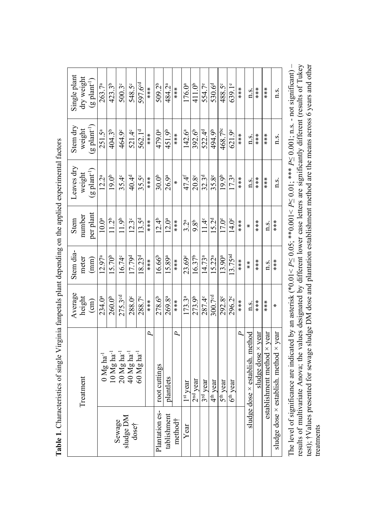| ו<br>ו                                 |
|----------------------------------------|
|                                        |
| is case case case                      |
|                                        |
| くくしょ<br>i                              |
| $\frac{1}{3}$<br> <br> <br> <br> <br>i |
| くうさき                                   |
| i                                      |
|                                        |
| $\frac{1}{\epsilon}$                   |

| Treatment                                            | Average<br>height<br>$\binom{cm}{c}$ | Stem dia-<br>meter<br>(mm) | per plant<br>number<br>Stem | Leaves dry<br>$(g$ plant <sup>-1</sup> )<br>weight | Stem dry<br>$g$ plant <sup>-1</sup><br>weight | Single plant<br>dry weight<br>$(g$ plant <sup>-1</sup> |
|------------------------------------------------------|--------------------------------------|----------------------------|-----------------------------|----------------------------------------------------|-----------------------------------------------|--------------------------------------------------------|
| 0 Mg ha <sup>-1</sup>                                | $234.0^{a}$                          | 12.97ª                     | 10.0 <sup>a</sup>           | 12.2 <sup>a</sup>                                  | $251.5^{a}$                                   | $263.7^{a}$                                            |
| $10 \text{ Mg ha}^{-1}$                              | $260.0^{b}$                          | $15.70^{b}$                | $11.2^{b}$                  | $19.0^{\rm b}$                                     | 404.3 <sup>b</sup>                            | $423.3^{b}$                                            |
| $20$ Mg ha <sup>-1</sup>                             | $275.3$ <sup>cd</sup>                | 16.74°                     | 11.9 <sup>b</sup>           | $35.4^{\circ}$                                     | 464.9°                                        | 500.3°                                                 |
| 40 $Mg$ ha <sup>-1</sup>                             | 288.0°                               | 17.79 <sup>d</sup>         | $12.3^\circ$                | 40.4 <sup>d</sup>                                  | 521.4°                                        | 548.5°                                                 |
| $60$ $Mg$ $ha^{-1}$                                  | 288.7°                               | 18.23 <sup>d</sup>         | $13.5^{\rm d}$              | 35.5 <sup>c</sup>                                  | 562.1 <sup>d</sup>                            | 597.6 <sup>cd</sup>                                    |
| Q.                                                   | $**\ast$                             | $***$                      | $***$                       | $***$                                              | $***$                                         | $***$                                                  |
| root cuttings                                        | 278.6 <sup>b</sup>                   | 16.66 <sup>b</sup>         | $12.4^{b}$                  | 30.0 <sup>b</sup>                                  | 479.0ª                                        | 509.2 <sup>b</sup>                                     |
| plantlets                                            | 269.8ª                               | 15.89ª                     | $12.0^a$                    | $26.9^{\rm a}$                                     | 451.9 <sup>b</sup>                            | 484.2ª                                                 |
| P,                                                   | ***                                  | $***$                      | $***$                       | ¥                                                  | $***$                                         | $***$                                                  |
| 1 <sup>st</sup> year                                 | $173.3^{a}$                          | 23.69 <sup>c</sup>         | 3.2 <sup>a</sup>            | $47.4^{\rm f}$                                     | $142.6^{a}$                                   | 176.0 <sup>a</sup>                                     |
| $2nd$ year                                           | 273.9 <sup>b</sup>                   | $16.37^{b}$                | 9.8 <sup>b</sup>            | 20.8 <sup>c</sup>                                  | $392.6^{b}$                                   | 411.0 <sup>b</sup>                                     |
| 3 <sup>rd</sup> year                                 | 287.4°                               | $14.73^{\rm a}$            | $11.4^\circ$                | 32.3 <sup>d</sup>                                  | 522.4 <sup>d</sup>                            | 554.7 <sup>e</sup>                                     |
| 4 <sup>th</sup> year                                 | 300.7 <sup>cd</sup>                  | $15.22^a$                  | 15.2 <sup>d</sup>           | $35.8^{\circ}$                                     | 494.9 <sup>b</sup>                            | $530.6^{d}$                                            |
| 5 <sup>th</sup> year                                 | 292.8°                               | 13.90 <sup>a</sup>         | 17.0 <sup>e</sup>           | 19.9 <sup>b</sup>                                  | 468.7 <sup>bc</sup>                           | 488.5°                                                 |
| $6th$ year                                           | 296.2°                               | $13.75^{ad}$               | $14.0^{\circ}$              | $17.3^{\rm a}$                                     | $621.9^{\circ}$                               | 639.1 <sup>e</sup>                                     |
| D.                                                   | $***$                                |                            | $***$                       | $***$                                              | $***$                                         | $***$                                                  |
| sludge dose × establish. method                      | n.s.                                 | $\stackrel{*}{*}$          | ¥                           | n.s.                                               | n.s.                                          | n.s.                                                   |
| sludge dose $\times$ year                            | $***$                                | $***$                      | $***$                       | $***$                                              | $***$                                         | $***$                                                  |
| establishment method × year                          | $***$                                | n.s.                       | n.s.                        | ***                                                | $***$                                         | $***$                                                  |
| sludge dose $\times$ establish. method $\times$ year | ∗                                    | $***$                      | $***$                       | n.s.                                               | n.s.                                          | n.s.                                                   |

test); +Values presented for sewage sludge DM dose and plantation establishment method are the means across 6 years and other The level of significance are indicated by an asterisk (\*0.01< *P*≤ 0.05; \*\*0.001< *P*≤ 0.01; \*\*\* *P*≤ 0.001; n.s. - not significant) – results of multivariate Anova; the values designated by different lower case letters are significantly different (results of Tukey results of multivariate Anova; the values designated by different lower case letters are significantly different (results of Tukey test); †Values presented for sewage sludge DM dose and plantation establishment method are the means across 6 years and other The level of significance are indicated by an asterisk (\*0.01< P $\leq$  0.05; \*\*\*0.001< P $\leq$  0.01; \*\*\* P $\leq$  0.001; n.s. - not significant) treatments treatments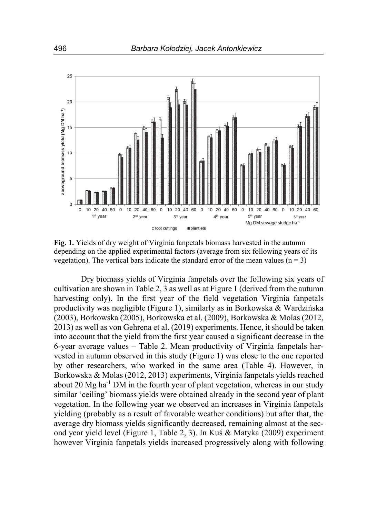

**Fig. 1.** Yields of dry weight of Virginia fanpetals biomass harvested in the autumn depending on the applied experimental factors (average from six following years of its vegetation). The vertical bars indicate the standard error of the mean values ( $n = 3$ )

Dry biomass yields of Virginia fanpetals over the following six years of cultivation are shown in Table 2, 3 as well as at Figure 1 (derived from the autumn harvesting only). In the first year of the field vegetation Virginia fanpetals productivity was negligible (Figure 1), similarly as in Borkowska & Wardzińska (2003), Borkowska (2005), Borkowska et al. (2009), Borkowska & Molas (2012, 2013) as well as von Gehrena et al. (2019) experiments. Hence, it should be taken into account that the yield from the first year caused a significant decrease in the 6-year average values – Table 2. Mean productivity of Virginia fanpetals harvested in autumn observed in this study (Figure 1) was close to the one reported by other researchers, who worked in the same area (Table 4). However, in Borkowska & Molas (2012, 2013) experiments, Virginia fanpetals yields reached about 20  $\text{Mg}$  ha<sup>-1</sup> DM in the fourth year of plant vegetation, whereas in our study similar 'ceiling' biomass yields were obtained already in the second year of plant vegetation. In the following year we observed an increases in Virginia fanpetals yielding (probably as a result of favorable weather conditions) but after that, the average dry biomass yields significantly decreased, remaining almost at the second year yield level (Figure 1, Table 2, 3). In Kuś & Matyka (2009) experiment however Virginia fanpetals yields increased progressively along with following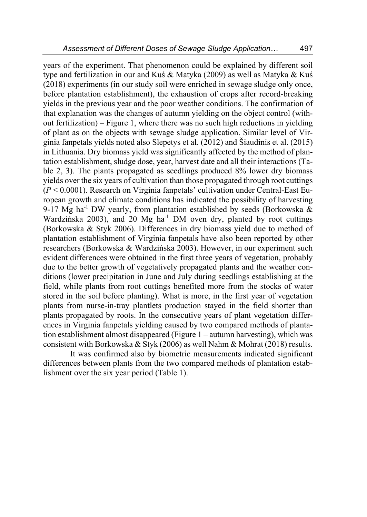years of the experiment. That phenomenon could be explained by different soil type and fertilization in our and Kuś & Matyka (2009) as well as Matyka & Kuś (2018) experiments (in our study soil were enriched in sewage sludge only once, before plantation establishment), the exhaustion of crops after record-breaking yields in the previous year and the poor weather conditions. The confirmation of that explanation was the changes of autumn yielding on the object control (without fertilization) – Figure 1, where there was no such high reductions in yielding of plant as on the objects with sewage sludge application. Similar level of Virginia fanpetals yields noted also Slepetys et al. (2012) and Šiaudinis et al. (2015) in Lithuania. Dry biomass yield was significantly affected by the method of plantation establishment, sludge dose, year, harvest date and all their interactions (Table 2, 3). The plants propagated as seedlings produced 8% lower dry biomass yields over the six years of cultivation than those propagated through root cuttings (*P* < 0.0001). Research on Virginia fanpetals' cultivation under Central-East European growth and climate conditions has indicated the possibility of harvesting 9-17 Mg ha<sup>-1</sup> DW yearly, from plantation established by seeds (Borkowska  $\&$ Wardzińska 2003), and 20 Mg ha<sup>-1</sup> DM oven dry, planted by root cuttings (Borkowska & Styk 2006). Differences in dry biomass yield due to method of plantation establishment of Virginia fanpetals have also been reported by other researchers (Borkowska & Wardzińska 2003). However, in our experiment such evident differences were obtained in the first three years of vegetation, probably due to the better growth of vegetatively propagated plants and the weather conditions (lower precipitation in June and July during seedlings establishing at the field, while plants from root cuttings benefited more from the stocks of water stored in the soil before planting). What is more, in the first year of vegetation plants from nurse-in-tray plantlets production stayed in the field shorter than plants propagated by roots. In the consecutive years of plant vegetation differences in Virginia fanpetals yielding caused by two compared methods of plantation establishment almost disappeared (Figure 1 – autumn harvesting), which was consistent with Borkowska & Styk (2006) as well Nahm & Mohrat (2018) results.

It was confirmed also by biometric measurements indicated significant differences between plants from the two compared methods of plantation establishment over the six year period (Table 1).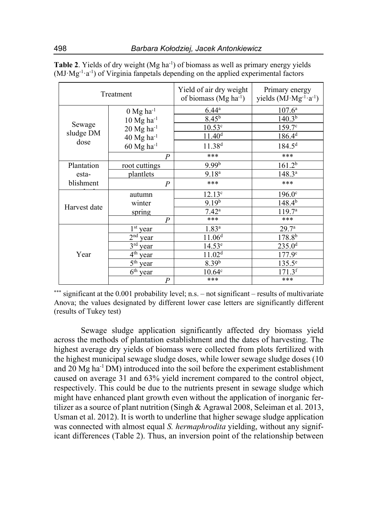|                             | Treatment                                                                                                                                    | Yield of air dry weight<br>of biomass $(Mg ha^{-1})$                                           | Primary energy<br>yields $(MJ·Mg^{-1}·a^{-1})$                                                |
|-----------------------------|----------------------------------------------------------------------------------------------------------------------------------------------|------------------------------------------------------------------------------------------------|-----------------------------------------------------------------------------------------------|
| Sewage<br>sludge DM<br>dose | $0$ Mg ha <sup>-1</sup><br>$10$ Mg ha <sup>-1</sup><br>$20$ Mg ha <sup>-1</sup><br>$40$ Mg ha <sup>-1</sup><br>$60$ Mg ha <sup>-1</sup><br>P | $6.44^{\rm a}$<br>$8.45^{b}$<br>10.53 <sup>c</sup><br>11.40 <sup>d</sup><br>$11.38^{d}$<br>*** | $107.6^{\circ}$<br>140.3 <sup>b</sup><br>$159.7^{\circ}$<br>$186.4^{d}$<br>$184.5^{d}$<br>*** |
| Plantation                  | root cuttings                                                                                                                                | 9.99 <sup>b</sup>                                                                              | 161.2 <sup>b</sup>                                                                            |
| esta-                       | plantlets                                                                                                                                    | 9.18 <sup>a</sup>                                                                              | $148.3^{a}$                                                                                   |
| blishment                   | $\overline{P}$                                                                                                                               | ***                                                                                            | ***                                                                                           |
| Harvest date                | autumn                                                                                                                                       | $12.13^{\circ}$                                                                                | $196.0^\circ$                                                                                 |
|                             | winter                                                                                                                                       | 9.19 <sup>b</sup>                                                                              | $148.4^{b}$                                                                                   |
|                             | spring                                                                                                                                       | $7.42^{\rm a}$                                                                                 | 119.7 <sup>a</sup>                                                                            |
|                             | $\boldsymbol{P}$                                                                                                                             | ***                                                                                            | ***                                                                                           |
| Year                        | $1st$ year                                                                                                                                   | $1.83^{a}$                                                                                     | 29.7 <sup>a</sup>                                                                             |
|                             | $2nd$ year                                                                                                                                   | 11.06 <sup>d</sup>                                                                             | 178.8 <sup>b</sup>                                                                            |
|                             | 3rd year                                                                                                                                     | $14.53^e$                                                                                      | 235.0 <sup>d</sup>                                                                            |
|                             | 4 <sup>th</sup> year                                                                                                                         | 11.02 <sup>d</sup>                                                                             | $177.9^{\circ}$                                                                               |
|                             | $5th$ year                                                                                                                                   | 8.39 <sup>b</sup>                                                                              | $135.5^e$                                                                                     |
|                             | $6th$ year                                                                                                                                   | 10.64 <sup>c</sup>                                                                             | $171.3$ <sup>f</sup>                                                                          |
|                             | $\boldsymbol{P}$                                                                                                                             | ***                                                                                            | ***                                                                                           |

| Table 2. Yields of dry weight (Mg ha <sup>-1</sup> ) of biomass as well as primary energy yields |  |  |
|--------------------------------------------------------------------------------------------------|--|--|
| $(MJ·Mg-1·a-1)$ of Virginia fanpetals depending on the applied experimental factors              |  |  |

significant at the 0.001 probability level; n.s. – not significant – results of multivariate Anova; the values designated by different lower case letters are significantly different (results of Tukey test)

Sewage sludge application significantly affected dry biomass yield across the methods of plantation establishment and the dates of harvesting. The highest average dry yields of biomass were collected from plots fertilized with the highest municipal sewage sludge doses, while lower sewage sludge doses (10 and 20  $Mg$  ha<sup>-1</sup> DM) introduced into the soil before the experiment establishment caused on average 31 and 63% yield increment compared to the control object, respectively. This could be due to the nutrients present in sewage sludge which might have enhanced plant growth even without the application of inorganic fertilizer as a source of plant nutrition (Singh & Agrawal 2008, Seleiman et al. 2013, Usman et al. 2012). It is worth to underline that higher sewage sludge application was connected with almost equal *S. hermaphrodita* yielding, without any significant differences (Table 2). Thus, an inversion point of the relationship between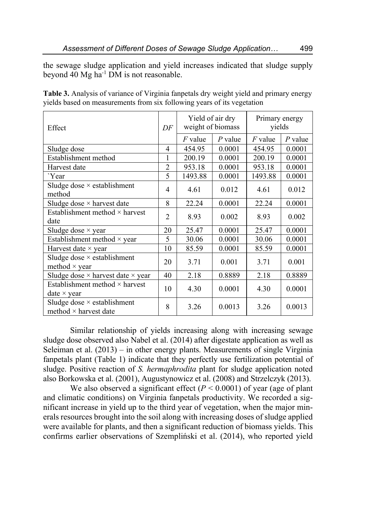the sewage sludge application and yield increases indicated that sludge supply beyond  $40$  Mg ha<sup>-1</sup> DM is not reasonable.

| Effect                                                             |                |           | Yield of air dry<br>weight of biomass | Primary energy<br>yields |           |  |
|--------------------------------------------------------------------|----------------|-----------|---------------------------------------|--------------------------|-----------|--|
|                                                                    |                | $F$ value | $P$ value                             | $F$ value                | $P$ value |  |
| Sludge dose                                                        | 4              | 454.95    | 0.0001                                | 454.95                   | 0.0001    |  |
| Establishment method                                               | 1              | 200.19    | 0.0001                                | 200.19                   | 0.0001    |  |
| Harvest date                                                       | $\overline{2}$ | 953.18    | 0.0001                                | 953.18                   | 0.0001    |  |
| 'Year                                                              | 5              | 1493.88   | 0.0001                                | 1493.88                  | 0.0001    |  |
| Sludge dose $\times$ establishment<br>method                       | 4              | 4.61      | 0.012                                 | 4.61                     | 0.012     |  |
| Sludge dose × harvest date                                         | 8              | 22.24     | 0.0001                                | 22.24                    | 0.0001    |  |
| Establishment method $\times$ harvest<br>date                      | $\overline{2}$ | 8.93      | 0.002                                 | 8.93                     | 0.002     |  |
| Sludge dose × year                                                 | 20             | 25.47     | 0.0001                                | 25.47                    | 0.0001    |  |
| Establishment method × year                                        | 5              | 30.06     | 0.0001                                | 30.06                    | 0.0001    |  |
| Harvest date $\times$ year                                         | 10             | 85.59     | 0.0001                                | 85.59                    | 0.0001    |  |
| Sludge dose $\times$ establishment<br>method $\times$ year         | 20             | 3.71      | 0.001                                 | 3.71                     | 0.001     |  |
| Sludge dose $\times$ harvest date $\times$ year                    | 40             | 2.18      | 0.8889                                | 2.18                     | 0.8889    |  |
| Establishment method $\times$ harvest<br>date $\times$ year        | 10             | 4.30      | 0.0001                                | 4.30                     | 0.0001    |  |
| Sludge dose $\times$ establishment<br>method $\times$ harvest date | 8              | 3.26      | 0.0013                                | 3.26                     | 0.0013    |  |

**Table 3.** Analysis of variance of Virginia fanpetals dry weight yield and primary energy yields based on measurements from six following years of its vegetation

Similar relationship of yields increasing along with increasing sewage sludge dose observed also Nabel et al. (2014) after digestate application as well as Seleiman et al. (2013) – in other energy plants. Measurements of single Virginia fanpetals plant (Table 1) indicate that they perfectly use fertilization potential of sludge. Positive reaction of *S. hermaphrodita* plant for sludge application noted also Borkowska et al. (2001), Augustynowicz et al. (2008) and Strzelczyk (2013).

We also observed a significant effect  $(P < 0.0001)$  of year (age of plant) and climatic conditions) on Virginia fanpetals productivity. We recorded a significant increase in yield up to the third year of vegetation, when the major minerals resources brought into the soil along with increasing doses of sludge applied were available for plants, and then a significant reduction of biomass yields. This confirms earlier observations of Szempliński et al. (2014), who reported yield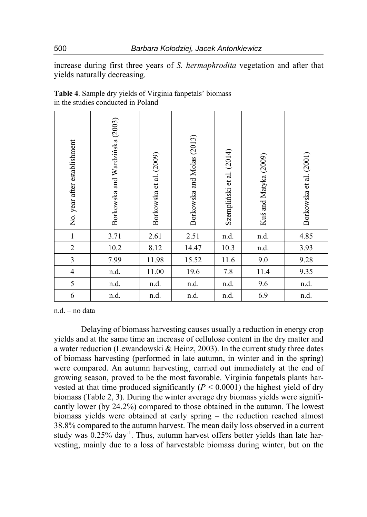increase during first three years of *S. hermaphrodita* vegetation and after that yields naturally decreasing.

| No. year after establishment | Borkowska and Wardzińska (2003) | Borkowska et al. (2009) | Borkowska and Molas (2013) | Szempliński et al. (2014) | Kuś and Matyka (2009) | Borkowska et al. (2001) |
|------------------------------|---------------------------------|-------------------------|----------------------------|---------------------------|-----------------------|-------------------------|
| $\mathbf{1}$                 | 3.71                            | 2.61                    | 2.51                       | n.d.                      | n.d.                  | 4.85                    |
| $\overline{2}$               | $10.2\,$                        | 8.12                    | 14.47                      | 10.3                      | n.d.                  | 3.93                    |
| $\mathfrak{Z}$               | 7.99                            | 11.98                   | 15.52                      | 11.6                      | 9.0                   | 9.28                    |
| $\overline{\mathbf{4}}$      | n.d.                            | 11.00                   | 19.6                       | 7.8                       | $11.4\,$              | 9.35                    |
| 5                            | n.d.                            | n.d.                    | n.d.                       | n.d.                      | 9.6                   | n.d.                    |
| 6                            | n.d.                            | n.d.                    | n.d.                       | n.d.                      | 6.9                   | n.d.                    |

| Table 4. Sample dry yields of Virginia fanpetals' biomass |  |
|-----------------------------------------------------------|--|
| in the studies conducted in Poland                        |  |

n.d. – no data

Delaying of biomass harvesting causes usually a reduction in energy crop yields and at the same time an increase of cellulose content in the dry matter and a water reduction (Lewandowski & Heinz, 2003). In the current study three dates of biomass harvesting (performed in late autumn, in winter and in the spring) were compared. An autumn harvesting¸ carried out immediately at the end of growing season, proved to be the most favorable. Virginia fanpetals plants harvested at that time produced significantly  $(P < 0.0001)$  the highest yield of dry biomass (Table 2, 3). During the winter average dry biomass yields were significantly lower (by 24.2%) compared to those obtained in the autumn. The lowest biomass yields were obtained at early spring – the reduction reached almost 38.8% compared to the autumn harvest. The mean daily loss observed in a current study was  $0.25\%$  day<sup>-1</sup>. Thus, autumn harvest offers better yields than late harvesting, mainly due to a loss of harvestable biomass during winter, but on the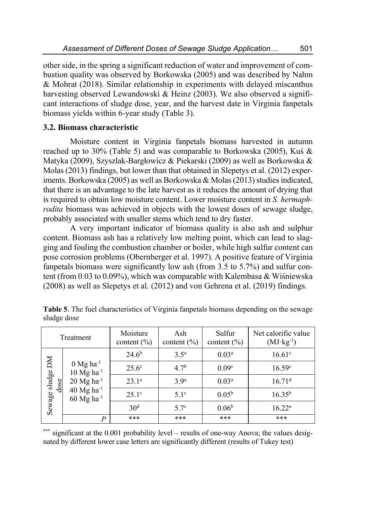other side, in the spring a significant reduction of water and improvement of combustion quality was observed by Borkowska (2005) and was described by Nahm & Mohrat (2018). Similar relationship in experiments with delayed miscanthus harvesting observed Lewandowski & Heinz (2003). We also observed a significant interactions of sludge dose, year, and the harvest date in Virginia fanpetals biomass yields within 6-year study (Table 3).

# **3.2. Biomass characteristic**

Moisture content in Virginia fanpetals biomass harvested in autumn reached up to 30% (Table 5) and was comparable to Borkowska (2005), Kuś & Matyka (2009), Szyszlak-Bargłowicz & Piekarski (2009) as well as Borkowska & Molas (2013) findings, but lower than that obtained in Slepetys et al. (2012) experiments. Borkowska (2005) as well as Borkowska & Molas (2013) studies indicated, that there is an advantage to the late harvest as it reduces the amount of drying that is required to obtain low moisture content. Lower moisture content in *S. hermaphrodita* biomass was achieved in objects with the lowest doses of sewage sludge, probably associated with smaller stems which tend to dry faster.

A very important indicator of biomass quality is also ash and sulphur content. Biomass ash has a relatively low melting point, which can lead to slagging and fouling the combustion chamber or boiler, while high sulfur content can pose corrosion problems (Obernberger et al. 1997). A positive feature of Virginia fanpetals biomass were significantly low ash (from 3.5 to 5.7%) and sulfur content (from 0.03 to 0.09%), which was comparable with Kalembasa & Wiśniewska (2008) as well as Slepetys et al. (2012) and von Gehrena et al. (2019) findings.

|                          | Treatment                                            | Moisture<br>content $(\% )$ | Ash<br>content $(\% )$ | Sulfur<br>content $(\% )$ | Net calorific value<br>$(MJ \cdot kg^{-1})$ |
|--------------------------|------------------------------------------------------|-----------------------------|------------------------|---------------------------|---------------------------------------------|
|                          |                                                      | $24.6^{b}$                  | $3.5^{\rm a}$          | 0.03 <sup>a</sup>         | 16.61 <sup>c</sup>                          |
|                          | $0$ Mg ha <sup>-1</sup><br>$10$ Mg ha <sup>-1</sup>  | $25.6^{\circ}$              | 4.7 <sup>b</sup>       | 0.09 <sup>c</sup>         | 16.59c                                      |
| Sewage sludge DM<br>dose | $20$ Mg ha <sup>-1</sup>                             | 23.1 <sup>a</sup>           | 3.9 <sup>a</sup>       | 0.03 <sup>a</sup>         | $16.71$ <sup>d</sup>                        |
|                          | $40$ Mg ha <sup>-1</sup><br>$60$ Mg ha <sup>-1</sup> | $25.1^{\circ}$              | $5.1^\circ$            | $0.05^{b}$                | $16.35^{b}$                                 |
|                          |                                                      | 30 <sup>d</sup>             | 5.7 <sup>c</sup>       | 0.06 <sup>b</sup>         | $16.22^a$                                   |
|                          | P                                                    | ***                         | ***                    | ***                       | ***                                         |

**Table 5**. The fuel characteristics of Virginia fanpetals biomass depending on the sewage sludge dose

\*\*\*\* significant at the 0.001 probability level – results of one-way Anova; the values designated by different lower case letters are significantly different (results of Tukey test)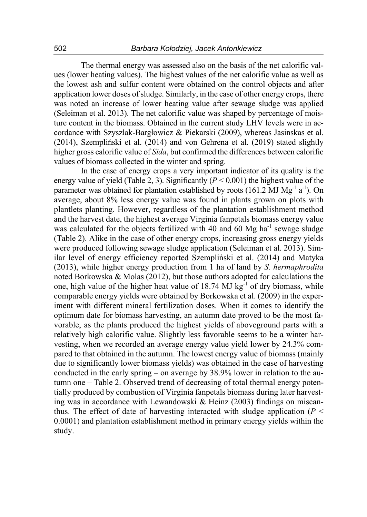The thermal energy was assessed also on the basis of the net calorific values (lower heating values). The highest values of the net calorific value as well as the lowest ash and sulfur content were obtained on the control objects and after application lower doses of sludge. Similarly, in the case of other energy crops, there was noted an increase of lower heating value after sewage sludge was applied (Seleiman et al. 2013). The net calorific value was shaped by percentage of moisture content in the biomass. Obtained in the current study LHV levels were in accordance with Szyszlak-Bargłowicz & Piekarski (2009), whereas Jasinskas et al. (2014), Szempliński et al. (2014) and von Gehrena et al. (2019) stated slightly higher gross calorific value of *Sida*, but confirmed the differences between calorific values of biomass collected in the winter and spring.

In the case of energy crops a very important indicator of its quality is the energy value of yield (Table 2, 3). Significantly  $(P < 0.001)$  the highest value of the parameter was obtained for plantation established by roots (161.2 MJ  $Mg^{-1}$  a<sup>-1</sup>). On average, about 8% less energy value was found in plants grown on plots with plantlets planting. However, regardless of the plantation establishment method and the harvest date, the highest average Virginia fanpetals biomass energy value was calculated for the objects fertilized with 40 and 60  $Mg$  ha<sup>-1</sup> sewage sludge (Table 2). Alike in the case of other energy crops, increasing gross energy yields were produced following sewage sludge application (Seleiman et al. 2013). Similar level of energy efficiency reported Szempliński et al. (2014) and Matyka (2013), while higher energy production from 1 ha of land by *S. hermaphrodita* noted Borkowska & Molas (2012), but those authors adopted for calculations the one, high value of the higher heat value of  $18.74 \text{ MJ kg}^{-1}$  of dry biomass, while comparable energy yields were obtained by Borkowska et al. (2009) in the experiment with different mineral fertilization doses. When it comes to identify the optimum date for biomass harvesting, an autumn date proved to be the most favorable, as the plants produced the highest yields of aboveground parts with a relatively high calorific value. Slightly less favorable seems to be a winter harvesting, when we recorded an average energy value yield lower by 24.3% compared to that obtained in the autumn. The lowest energy value of biomass (mainly due to significantly lower biomass yields) was obtained in the case of harvesting conducted in the early spring – on average by 38.9% lower in relation to the autumn one – Table 2. Observed trend of decreasing of total thermal energy potentially produced by combustion of Virginia fanpetals biomass during later harvesting was in accordance with Lewandowski & Heinz (2003) findings on miscanthus. The effect of date of harvesting interacted with sludge application  $(P \leq$ 0.0001) and plantation establishment method in primary energy yields within the study.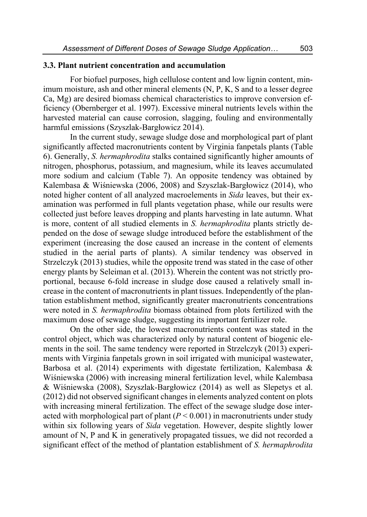#### **3.3. Plant nutrient concentration and accumulation**

For biofuel purposes, high cellulose content and low lignin content, minimum moisture, ash and other mineral elements (N, P, K, S and to a lesser degree Ca, Mg) are desired biomass chemical characteristics to improve conversion efficiency (Obernberger et al. 1997). Excessive mineral nutrients levels within the harvested material can cause corrosion, slagging, fouling and environmentally harmful emissions (Szyszlak-Bargłowicz 2014).

In the current study, sewage sludge dose and morphological part of plant significantly affected macronutrients content by Virginia fanpetals plants (Table 6). Generally, *S. hermaphrodita* stalks contained significantly higher amounts of nitrogen, phosphorus, potassium, and magnesium, while its leaves accumulated more sodium and calcium (Table 7). An opposite tendency was obtained by Kalembasa & Wiśniewska (2006, 2008) and Szyszlak-Bargłowicz (2014), who noted higher content of all analyzed macroelements in *Sida* leaves, but their examination was performed in full plants vegetation phase, while our results were collected just before leaves dropping and plants harvesting in late autumn. What is more, content of all studied elements in *S. hermaphrodita* plants strictly depended on the dose of sewage sludge introduced before the establishment of the experiment (increasing the dose caused an increase in the content of elements studied in the aerial parts of plants). A similar tendency was observed in Strzelczyk (2013) studies, while the opposite trend was stated in the case of other energy plants by Seleiman et al. (2013). Wherein the content was not strictly proportional, because 6-fold increase in sludge dose caused a relatively small increase in the content of macronutrients in plant tissues. Independently of the plantation establishment method, significantly greater macronutrients concentrations were noted in *S. hermaphrodita* biomass obtained from plots fertilized with the maximum dose of sewage sludge, suggesting its important fertilizer role.

On the other side, the lowest macronutrients content was stated in the control object, which was characterized only by natural content of biogenic elements in the soil. The same tendency were reported in Strzelczyk (2013) experiments with Virginia fanpetals grown in soil irrigated with municipal wastewater, Barbosa et al. (2014) experiments with digestate fertilization, Kalembasa  $\&$ Wiśniewska (2006) with increasing mineral fertilization level, while Kalembasa & Wiśniewska (2008), Szyszlak-Bargłowicz (2014) as well as Slepetys et al. (2012) did not observed significant changes in elements analyzed content on plots with increasing mineral fertilization. The effect of the sewage sludge dose interacted with morphological part of plant  $(P < 0.001)$  in macronutrients under study within six following years of *Sida* vegetation. However, despite slightly lower amount of N, P and K in generatively propagated tissues, we did not recorded a significant effect of the method of plantation establishment of *S. hermaphrodita*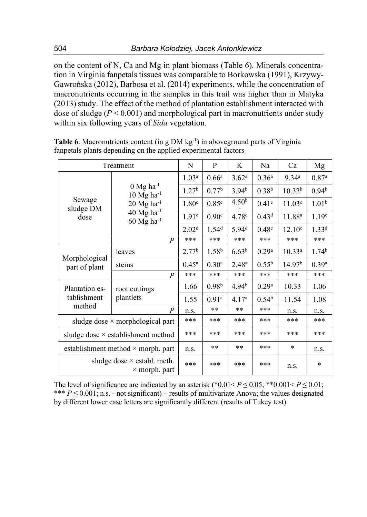on the content of N, Ca and Mg in plant biomass (Table 6). Minerals concentration in Virginia fanpetals tissues was comparable to Borkowska (1991), Krzywy-Gawrońska (2012), Barbosa et al. (2014) experiments, while the concentration of macronutrients occurring in the samples in this trail was higher than in Matyka (2013) study. The effect of the method of plantation establishment interacted with dose of sludge  $(P < 0.001)$  and morphological part in macronutrients under study within six following years of *Sida* vegetation.

|                                | Treatment                                                  | N                 | P                 | K                 | Na                | Ca                 | Mg                  |
|--------------------------------|------------------------------------------------------------|-------------------|-------------------|-------------------|-------------------|--------------------|---------------------|
|                                |                                                            | $1.03^{\rm a}$    | $0.66^{\rm a}$    | $3.62^{\rm a}$    | $0.36^{a}$        | $9.34^{\circ}$     | $0.87$ <sup>a</sup> |
|                                | $0$ Mg ha <sup>-1</sup><br>$10$ Mg ha <sup>-1</sup>        | 1.27 <sup>b</sup> | 0.77 <sup>b</sup> | 3.94 <sup>b</sup> | 0.38 <sup>b</sup> | 10.32 <sup>b</sup> | 0.94 <sup>b</sup>   |
| Sewage<br>sludge DM            | $20$ Mg ha <sup>-1</sup>                                   | 1.80 <sup>c</sup> | 0.85 <sup>c</sup> | 4.50 <sup>b</sup> | 0.41 <sup>c</sup> | 11.03 <sup>c</sup> | 1.01 <sup>b</sup>   |
| dose                           | $40$ Mg ha <sup>-1</sup><br>$60$ Mg ha <sup>-1</sup>       | 1.91 <sup>c</sup> | 0.90 <sup>c</sup> | 4.78 <sup>c</sup> | 0.43 <sup>d</sup> | $11.88^{a}$        | 1.19 <sup>c</sup>   |
|                                |                                                            | 2.02 <sup>d</sup> | 1.54 <sup>d</sup> | 5.94 <sup>d</sup> | 0.48 <sup>e</sup> | $12.10^e$          | 1.33 <sup>d</sup>   |
|                                | $\boldsymbol{P}$                                           | ***               | ***               | ***               | ***               | ***                | ***                 |
|                                | leaves                                                     | 2.77 <sup>b</sup> | 1.58 <sup>b</sup> | 6.63 <sup>b</sup> | 0.29 <sup>a</sup> | $10.33^{\rm a}$    | 1.74 <sup>b</sup>   |
| Morphological<br>part of plant | stems                                                      | $0.45^{\rm a}$    | 0.30 <sup>a</sup> | 2.48 <sup>a</sup> | $0.55^{b}$        | 14.97 <sup>b</sup> | 0.39 <sup>a</sup>   |
|                                | ***<br>***<br>***<br>***<br>***<br>$\boldsymbol{P}$        | ***               |                   |                   |                   |                    |                     |
| Plantation es-                 | root cuttings                                              | 1.66              | 0.98 <sup>b</sup> | 4.94 <sup>b</sup> | 0.29 <sup>a</sup> | 10.33              | 1.06                |
| tablishment                    | plantlets                                                  | 1.55              | 0.91 <sup>a</sup> | 4.17 <sup>a</sup> | 0.54 <sup>b</sup> | 11.54              | 1.08                |
| method                         | P                                                          | n.s.              | **                | **                | ***               | n.s.               | n.s.                |
|                                | sludge dose $\times$ morphological part                    | ***               | ***               | ***               | ***               | ***                | ***                 |
|                                | sludge dose $\times$ establishment method                  | ***               | ***               | ***               | ***               | ***                | ***                 |
|                                | establishment method $\times$ morph. part                  | n.s.              | **                | **                | ***               | *                  | n.s.                |
|                                | sludge dose $\times$ establ. meth.<br>$\times$ morph. part | ***               | ***               | ***               | ***               | n.s.               | $\ast$              |

**Table 6**. Macronutrients content (in g DM kg<sup>-1</sup>) in aboveground parts of Virginia fanpetals plants depending on the applied experimental factors

The level of significance are indicated by an asterisk (\*0.01<  $P \le 0.05$ ; \*\*0.001<  $P \le 0.01$ ; \*\*\*  $P \le 0.001$ ; n.s. - not significant) – results of multivariate Anova; the values designated by different lower case letters are significantly different (results of Tukey test)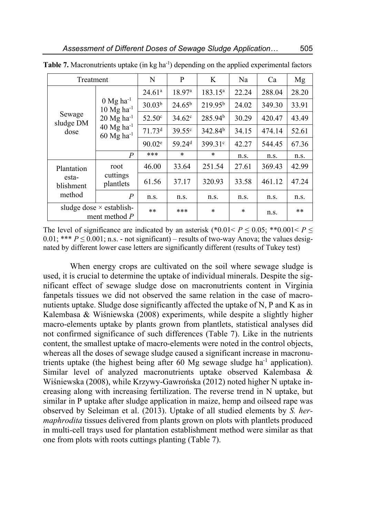| Treatment           |                                                                                 | N                  | P                  | K                   | Na     | Ca     | Mg    |
|---------------------|---------------------------------------------------------------------------------|--------------------|--------------------|---------------------|--------|--------|-------|
|                     |                                                                                 | $24.61^a$          | 18.97a             | $183.15^a$          | 22.24  | 288.04 | 28.20 |
|                     | $0$ Mg ha <sup>-1</sup><br>$10$ Mg ha <sup>-1</sup><br>$20$ Mg ha <sup>-1</sup> | 30.03 <sup>b</sup> | $24.65^{\rm b}$    | 219.95 <sup>b</sup> | 24.02  | 349.30 | 33.91 |
| Sewage<br>sludge DM |                                                                                 | $52.50^\circ$      | $34.62^{\circ}$    | 285.94 <sup>b</sup> | 30.29  | 420.47 | 43.49 |
| dose                | $40$ Mg ha <sup>-1</sup><br>$60$ Mg ha <sup>-1</sup>                            | 71.73 <sup>d</sup> | 39.55 <sup>c</sup> | 342.84 <sup>b</sup> | 34.15  | 474.14 | 52.61 |
|                     |                                                                                 | $90.02^e$          | 59.24 <sup>d</sup> | 399.31 <sup>c</sup> | 42.27  | 544.45 | 67.36 |
|                     | P                                                                               | ***                | $\ast$             | $\ast$              | n.s.   | n.s.   | n.s.  |
| Plantation          | root                                                                            | 46.00              | 33.64              | 251.54              | 27.61  | 369.43 | 42.99 |
| esta-<br>blishment  | cuttings<br>plantlets                                                           | 61.56              | 37.17              | 320.93              | 33.58  | 461.12 | 47.24 |
| method              | P                                                                               | n.s.               | n.s.               | n.s.                | n.s.   | n.s.   | n.s.  |
|                     | sludge dose $\times$ establish-<br>ment method $P$                              | **                 | ***                | $\ast$              | $\ast$ | n.s.   | **    |

**Table 7.** Macronutrients uptake (in kg ha<sup>-1</sup>) depending on the applied experimental factors

The level of significance are indicated by an asterisk (\*0.01<  $P \le 0.05$ ; \*\*0.001<  $P \le$ 0.01; \*\*\*  $P \le 0.001$ ; n.s. - not significant) – results of two-way Anova; the values designated by different lower case letters are significantly different (results of Tukey test)

When energy crops are cultivated on the soil where sewage sludge is used, it is crucial to determine the uptake of individual minerals. Despite the significant effect of sewage sludge dose on macronutrients content in Virginia fanpetals tissues we did not observed the same relation in the case of macronutients uptake. Sludge dose significantly affected the uptake of N, P and K as in Kalembasa & Wiśniewska (2008) experiments, while despite a slightly higher macro-elements uptake by plants grown from plantlets, statistical analyses did not confirmed significance of such differences (Table 7). Like in the nutrients content, the smallest uptake of macro-elements were noted in the control objects, whereas all the doses of sewage sludge caused a significant increase in macronutrients uptake (the highest being after 60 Mg sewage sludge  $ha^{-1}$  application). Similar level of analyzed macronutrients uptake observed Kalembasa & Wiśniewska (2008), while Krzywy-Gawrońska (2012) noted higher N uptake increasing along with increasing fertilization. The reverse trend in N uptake, but similar in P uptake after sludge application in maize, hemp and oilseed rape was observed by Seleiman et al. (2013). Uptake of all studied elements by *S. hermaphrodita* tissues delivered from plants grown on plots with plantlets produced in multi-cell trays used for plantation establishment method were similar as that one from plots with roots cuttings planting (Table 7).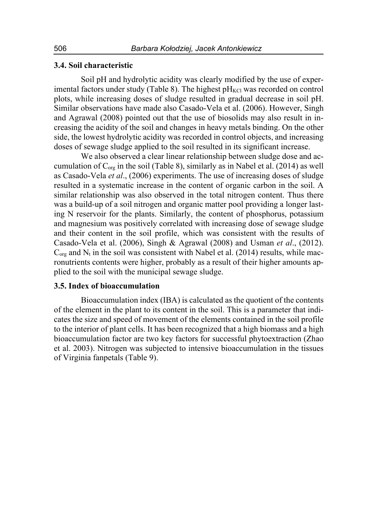### **3.4. Soil characteristic**

Soil pH and hydrolytic acidity was clearly modified by the use of experimental factors under study (Table 8). The highest  $pH_{\text{KC}}$  was recorded on control plots, while increasing doses of sludge resulted in gradual decrease in soil pH. Similar observations have made also Casado-Vela et al. (2006). However, Singh and Agrawal (2008) pointed out that the use of biosolids may also result in increasing the acidity of the soil and changes in heavy metals binding. On the other side, the lowest hydrolytic acidity was recorded in control objects, and increasing doses of sewage sludge applied to the soil resulted in its significant increase.

We also observed a clear linear relationship between sludge dose and accumulation of  $C_{\text{ore}}$  in the soil (Table 8), similarly as in Nabel et al. (2014) as well as Casado-Vela *et al*., (2006) experiments. The use of increasing doses of sludge resulted in a systematic increase in the content of organic carbon in the soil. A similar relationship was also observed in the total nitrogen content. Thus there was a build-up of a soil nitrogen and organic matter pool providing a longer lasting N reservoir for the plants. Similarly, the content of phosphorus, potassium and magnesium was positively correlated with increasing dose of sewage sludge and their content in the soil profile, which was consistent with the results of Casado-Vela et al. (2006), Singh & Agrawal (2008) and Usman *et al*., (2012).  $C_{\text{org}}$  and  $N_t$  in the soil was consistent with Nabel et al. (2014) results, while macronutrients contents were higher, probably as a result of their higher amounts applied to the soil with the municipal sewage sludge.

#### **3.5. Index of bioaccumulation**

Bioaccumulation index (IBA) is calculated as the quotient of the contents of the element in the plant to its content in the soil. This is a parameter that indicates the size and speed of movement of the elements contained in the soil profile to the interior of plant cells. It has been recognized that a high biomass and a high bioaccumulation factor are two key factors for successful phytoextraction (Zhao et al. 2003). Nitrogen was subjected to intensive bioaccumulation in the tissues of Virginia fanpetals (Table 9).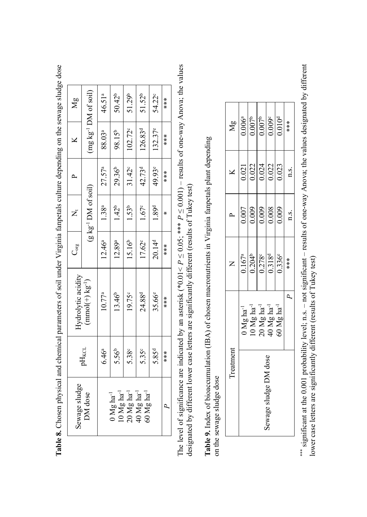| $\overline{M}$ | $(mg kg^{-1} DM of soil)$                  | 46.51ª             | $50.42^{b}$                                           | 51.29 <sup>b</sup>     | $51.52^{b}$                                                | 54.22°             | ****  |
|----------------|--------------------------------------------|--------------------|-------------------------------------------------------|------------------------|------------------------------------------------------------|--------------------|-------|
|                |                                            | 88.03ª             | 98.15 <sup>b</sup>                                    | 102.72°                | 126.83 <sup>d</sup>                                        | 132.37e            | $***$ |
|                |                                            | 27.57 <sup>a</sup> | $29.36^{b}$                                           | $31.42^{\circ}$        | 42.73 <sup>d</sup>                                         | 49.93 <sup>e</sup> | ***   |
|                | (g kg <sup>-1</sup> DM of soil)            | $1.38^{a}$         | $1.42^{b}$                                            | $1.53^{b}$             | $1.67^{\circ}$                                             | 1.89 <sup>d</sup>  |       |
| ပ်စ္မ          |                                            | $12.46^{a}$        | $12.89^{a}$                                           | $15.16^{b}$            | $17.62^{\circ}$                                            | $20.14^{d}$        | $***$ |
|                | Hydrolytic acidity<br>(mmol(+) $kg^{-1}$ ) | $10.77^{a}$        | 13.46 <sup>b</sup>                                    | 19.75°                 | 24.88 <sup>d</sup>                                         | 35.66 <sup>e</sup> | $***$ |
|                | pH <sub>KCL</sub>                          | $6.46^{a}$         | 5.56 <sup>b</sup>                                     | $5.38^\circ$           | $5.35^\circ$                                               | $5.85^{d}$         | $***$ |
| Sewage sludge  | DM dose                                    |                    | $10\ \mathrm{Mg\,ha^{-1}}$<br>) $Mg$ ha <sup>-1</sup> | 20 Mg ha <sup>-1</sup> | $40\ \mathrm{Mg\,ha^{-1}}$<br>$50~{\rm Mg}$ ha $^{\rm -1}$ |                    |       |

**Table 8.** Chosen physical and chemical parameters of soil under Virginia fanpetals culture depending on the sewage sludge dose Table 8. Chosen physical and chemical parameters of soil under Virginia fanpetals culture depending on the sewage sludge dose

The level of significance are indicated by an asterisk (\*0.01<  $P \le 0.05$ ; \*\*\*  $P \le 0.001$ ) – results of one-way Anova; the values The level of significance are indicated by an asterisk (\*0.01<  $P \le 0.05$ ; \*\*\*  $P \le 0.001$ ) – results of one-way Anova; the values designated by different lower case letters are significantly different (results of Tukey test) designated by different lower case letters are significantly different (results of Tukey test)

Table 9. Index of bioaccumulation (IBA) of chosen macronutrients in Virginia fanpetals plant depending **Table 9.** Index of bioaccumulation (IBA) of chosen macronutrients in Virginia fanpetals plant depending on the sewage sludge dose on the sewage sludge dose

| Йg        | $0.006^{a}$             | 0.007 <sup>b</sup>    | 0.007 <sup>b</sup>                                                          | 0.009c                | $0.010^{d}$                 | $***$ |
|-----------|-------------------------|-----------------------|-----------------------------------------------------------------------------|-----------------------|-----------------------------|-------|
|           | 0.021                   | 0.022                 | 0.024                                                                       | 0.022                 | 0.023                       | n.s.  |
|           | 0.007                   | 0.009                 | 0.009                                                                       | 0.008                 | 0.009                       | n.s.  |
| Z         |                         |                       | $\frac{0.167^{\circ}}{0.204^{\circ}}$ $\frac{0.187^{\circ}}{0.318^{\circ}}$ |                       |                             |       |
|           | $J$ Mg ha <sup>-1</sup> | $\log \text{ha}^{-1}$ | 20 Mg ha                                                                    | I0 Mg ha <sup>-</sup> | $50 \mathrm{Mg}$ ha $^{-1}$ |       |
| Treatment | sewage sludge DM dose   |                       |                                                                             |                       |                             |       |

\*\*\*\* significant at the 0.001 probability level; n.s. – not significant – results of one-way Anova; the values designated by different \*\*\*\* significant at the 0.001 probability level; n.s. - not significant - results of one-way Anova; the values designated by different lower case letters are significantly different (results of Tukey test) lower case letters are significantly different (results of Tukey test)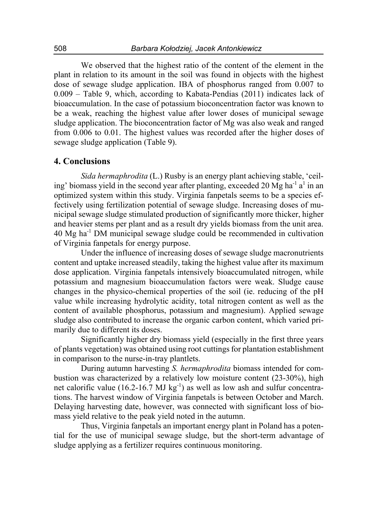We observed that the highest ratio of the content of the element in the plant in relation to its amount in the soil was found in objects with the highest dose of sewage sludge application. IBA of phosphorus ranged from 0.007 to 0.009 – Table 9, which, according to Kabata-Pendias (2011) indicates lack of bioaccumulation. In the case of potassium bioconcentration factor was known to be a weak, reaching the highest value after lower doses of municipal sewage sludge application. The bioconcentration factor of Mg was also weak and ranged from 0.006 to 0.01. The highest values was recorded after the higher doses of sewage sludge application (Table 9).

#### **4. Conclusions**

*Sida hermaphrodita* (L.) Rusby is an energy plant achieving stable, 'ceiling' biomass yield in the second year after planting, exceeded 20  $Mg$  ha<sup>-1</sup> a<sup>1</sup> in an optimized system within this study. Virginia fanpetals seems to be a species effectively using fertilization potential of sewage sludge. Increasing doses of municipal sewage sludge stimulated production of significantly more thicker, higher and heavier stems per plant and as a result dry yields biomass from the unit area. 40 Mg ha-1 DM municipal sewage sludge could be recommended in cultivation of Virginia fanpetals for energy purpose.

Under the influence of increasing doses of sewage sludge macronutrients content and uptake increased steadily, taking the highest value after its maximum dose application. Virginia fanpetals intensively bioaccumulated nitrogen, while potassium and magnesium bioaccumulation factors were weak. Sludge cause changes in the physico-chemical properties of the soil (ie. reducing of the pH value while increasing hydrolytic acidity, total nitrogen content as well as the content of available phosphorus, potassium and magnesium). Applied sewage sludge also contributed to increase the organic carbon content, which varied primarily due to different its doses.

Significantly higher dry biomass yield (especially in the first three years of plants vegetation) was obtained using root cuttings for plantation establishment in comparison to the nurse-in-tray plantlets.

During autumn harvesting *S. hermaphrodita* biomass intended for combustion was characterized by a relatively low moisture content (23-30%), high net calorific value (16.2-16.7 MJ  $kg^{-1}$ ) as well as low ash and sulfur concentrations. The harvest window of Virginia fanpetals is between October and March. Delaying harvesting date, however, was connected with significant loss of biomass yield relative to the peak yield noted in the autumn.

Thus, Virginia fanpetals an important energy plant in Poland has a potential for the use of municipal sewage sludge, but the short-term advantage of sludge applying as a fertilizer requires continuous monitoring.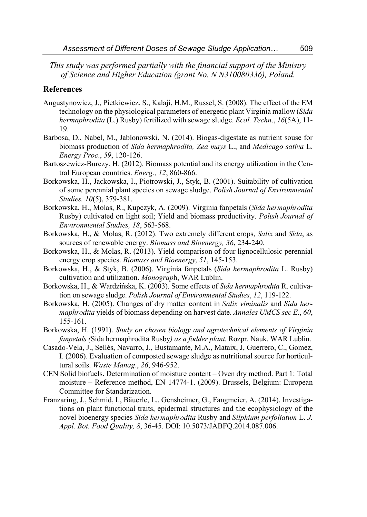*This study was performed partially with the financial support of the Ministry of Science and Higher Education (grant No. N N310080336), Poland.* 

### **References**

- Augustynowicz, J., Pietkiewicz, S., Kalaji, H.M., Russel, S. (2008). The effect of the EM technology on the physiological parameters of energetic plant Virginia mallow (*Sida hermaphrodita* (L.) Rusby) fertilized with sewage sludge. *Ecol. Techn*., *16*(5A), 11- 19.
- Barbosa, D., Nabel, M., Jablonowski, N. (2014). Biogas-digestate as nutrient souse for biomass production of *Sida hermaphrodita, Zea mays* L., and *Medicago sativa* L. *Energy Proc*., *59*, 120-126.
- Bartoszewicz-Burczy, H. (2012). Biomass potential and its energy utilization in the Central European countries. *Energ., 12*, 860-866.
- Borkowska, H., Jackowska, I., Piotrowski, J., Styk, B. (2001). Suitability of cultivation of some perennial plant species on sewage sludge. *Polish Journal of Environmental Studies, 10*(5), 379-381.
- Borkowska, H., Molas, R., Kupczyk, A. (2009). Virginia fanpetals (*Sida hermaphrodita* Rusby) cultivated on light soil; Yield and biomass productivity. *Polish Journal of Environmental Studies, 18*, 563-568.
- Borkowska, H., & Molas, R. (2012). Two extremely different crops, *Salix* and *Sida*, as sources of renewable energy. *Biomass and Bioenergy, 36*, 234-240.
- Borkowska, H., & Molas, R. (2013). Yield comparison of four lignocellulosic perennial energy crop species. *Biomass and Bioenergy*, *51*, 145-153.
- Borkowska, H., & Styk, B. (2006). Virginia fanpetals (*Sida hermaphrodita* L. Rusby) cultivation and utilization. *Monograp*h, WAR Lublin.
- Borkowska, H., & Wardzińska, K. (2003). Some effects of *Sida hermaphrodita* R. cultivation on sewage sludge. *Polish Journal of Environmental Studies*, *12*, 119-122.
- Borkowska, H. (2005). Changes of dry matter content in *Salix viminalis* and *Sida hermaphrodita* yields of biomass depending on harvest date. *Annales UMCS sec E*., *60*, 155-161.
- Borkowska, H. (1991). *Study on chosen biology and agrotechnical elements of Virginia fanpetals (*Sida hermaphrodita Rusby*) as a fodder plant.* Rozpr. Nauk, WAR Lublin.
- Casado-Vela, J., Sellés, Navarro, J., Bustamante, M.A., Mataix, J, Guerrero, C., Gomez, I. (2006). Evaluation of composted sewage sludge as nutritional source for horticultural soils. *Waste Manag*., *26*, 946-952.
- CEN Solid biofuels. Determination of moisture content Oven dry method. Part 1: Total moisture – Reference method, EN 14774-1. (2009). Brussels, Belgium: European Committee for Standarization.
- Franzaring, J., Schmid, I., Bäuerle, L., Gensheimer, G., Fangmeier, A. (2014). Investigations on plant functional traits, epidermal structures and the ecophysiology of the novel bioenergy species *Sida hermaphrodita* Rusby and *Silphium perfoliatum* L. *J. Appl. Bot. Food Quality, 8*, 36-45. DOI: 10.5073/JABFQ.2014.087.006.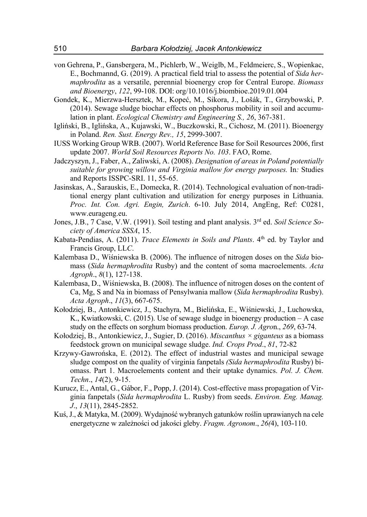- von Gehrena, P., Gansbergera, M., Pichlerb, W., Weiglb, M., Feldmeierc, S., Wopienkac, E., Bochmannd, G. (2019). A practical field trial to assess the potential of *Sida hermaphrodita* as a versatile, perennial bioenergy crop for Central Europe. *Biomass and Bioenergy*, *122*, 99-108. DOI: org/10.1016/j.biombioe.2019.01.004
- Gondek, K., Mierzwa-Hersztek, M., Kopeć, M., Sikora, J., Lošák, T., Grzybowski, P. (2014). Sewage sludge biochar effects on phosphorus mobility in soil and accumulation in plant. *Ecological Chemistry and Engineering S., 26*, 367-381.
- Igliński, B., Iglińska, A., Kujawski, W., Buczkowski, R., Cichosz, M. (2011). Bioenergy in Poland. *Ren. Sust. Energy Rev., 15*, 2999-3007.
- IUSS Working Group WRB. (2007). World Reference Base for Soil Resources 2006, first update 2007. *World Soil Resources Reports No. 103*. FAO, Rome.
- Jadczyszyn, J., Faber, A., Zaliwski, A. (2008). *Designation of areas in Poland potentially suitable for growing willow and Virginia mallow for energy purposes.* In*:* Studies and Reports ISSPC-SRI. 11, 55-65.
- Jasinskas, A., Šarauskis, E., Domecka, R. (2014). Technological evaluation of non-traditional energy plant cultivation and utilization for energy purposes in Lithuania. *Proc. Int. Con. Agri. Engin, Zurich*. 6-10. July 2014, AngEng, Ref: C0281, www.eurageng.eu.
- Jones, J.B., 7 Case, V.W. (1991). Soil testing and plant analysis. 3rd ed. *Soil Science Society of America SSSA*, 15.
- Kabata-Pendias, A. (2011). *Trace Elements in Soils and Plants*. 4<sup>th</sup> ed. by Taylor and Francis Group, LL*C*.
- Kalembasa D., Wiśniewska B. (2006). The influence of nitrogen doses on the *Sida* biomass (*Sida hermaphrodita* Rusby) and the content of soma macroelements. *Acta Agroph*., *8*(1), 127-138.
- Kalembasa, D., Wiśniewska, B. (2008). The influence of nitrogen doses on the content of Ca, Mg, S and Na in biomass of Pensylwania mallow (*Sida hermaphrodita* Rusby). *Acta Agroph*., *11*(3), 667-675.
- Kołodziej, B., Antonkiewicz, J., Stachyra, M., Bielińska, E., Wiśniewski, J., Luchowska, K., Kwiatkowski, C. (2015). Use of sewage sludge in bioenergy production – A case study on the effects on sorghum biomass production. *Europ. J. Agro*n., *269*, 63-74.
- Kołodziej, B., Antonkiewicz, J., Sugier, D. (2016). *Miscanthus × giganteus* as a biomass feedstock grown on municipal sewage sludge. *Ind. Crops Prod*., *81*, 72-82
- Krzywy-Gawrońska, E. (2012). The effect of industrial wastes and municipal sewage sludge compost on the quality of virginia fanpetals *(Sida hermaphrodita* Rusby) biomass. Part 1. Macroelements content and their uptake dynamics. *Pol. J. Chem. Techn*., *14*(2), 9-15.
- Kurucz, E., Antal, G., Gábor, F., Popp, J. (2014). Cost-effective mass propagation of Virginia fanpetals (*Sida hermaphrodita* L. Rusby) from seeds. *Environ. Eng. Manag. J*., *13*(11), 2845-2852.
- Kuś, J., & Matyka, M. (2009). Wydajność wybranych gatunków roślin uprawianych na cele energetyczne w zależności od jakości gleby. *Fragm. Agronom*., *26(*4), 103-110.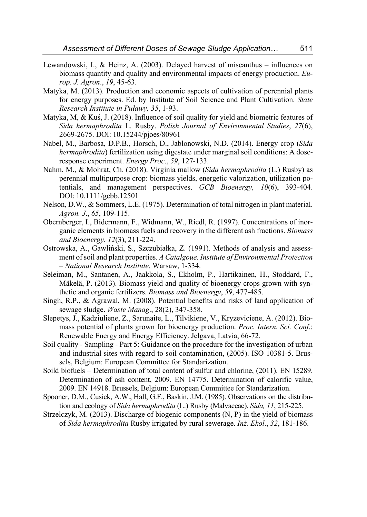- Lewandowski, I., & Heinz, A. (2003). Delayed harvest of miscanthus influences on biomass quantity and quality and environmental impacts of energy production. *Europ. J. Agron*., *19*, 45-63.
- Matyka, M. (2013). Production and economic aspects of cultivation of perennial plants for energy purposes. Ed. by Institute of Soil Science and Plant Cultivation. *State Research Institute in Puławy, 35*, 1-93.
- Matyka, M, & Kuś, J. (2018). Influence of soil quality for yield and biometric features of *Sida hermaphrodita* L. Rusby. *Polish Journal of Environmental Studies*, *27*(6), 2669-2675. DOI: 10.15244/pjoes/80961
- Nabel, M., Barbosa, D.P.B., Horsch, D., Jablonowski, N.D. (2014). Energy crop (*Sida hermaphrodita*) fertilization using digestate under marginal soil conditions: A doseresponse experiment. *Energy Proc*., *59*, 127-133.
- Nahm, M., & Mohrat, Ch. (2018). Virginia mallow (*Sida hermaphrodita* (L.) Rusby) as perennial multipurpose crop: biomass yields, energetic valorization, utilization potentials, and management perspectives. *GCB Bioenergy, 10*(6), 393-404. DOI: 10.1111/gcbb.12501
- Nelson, D.W., & Sommers, L.E. (1975). Determination of total nitrogen in plant material. *Agron. J*., *65*, 109-115.
- Obernberger, I., Bidermann, F., Widmann, W., Riedl, R. (1997). Concentrations of inorganic elements in biomass fuels and recovery in the different ash fractions. *Biomass and Bioenergy*, *12*(3), 211-224.
- Ostrowska, A., Gawliński, S., Szczubiałka, Z. (1991). Methods of analysis and assessment of soil and plant properties. *A Catalgoue. Institute of Environmental Protection – National Research Institute*. Warsaw, 1-334.
- Seleiman, M., Santanen, A., Jaakkola, S., Ekholm, P., Hartikainen, H., Stoddard, F., Mäkelä, P. (2013). Biomass yield and quality of bioenergy crops grown with synthetic and organic fertilizers. *Biomass and Bioenergy*, *59*, 477-485.
- Singh, R.P., & Agrawal, M. (2008). Potential benefits and risks of land application of sewage sludge. *Waste Manag*., 28(2), 347-358.
- Slepetys, J., Kadziuliene, Z., Sarunaite, L., Tilvikiene, V., Kryzeviciene, A. (2012). Biomass potential of plants grown for bioenergy production. *Proc. Intern. Sci. Conf*.: Renewable Energy and Energy Efficiency. Jelgava, Latvia, 66-72.
- Soil quality Sampling Part 5: Guidance on the procedure for the investigation of urban and industrial sites with regard to soil contamination, (2005). ISO 10381-5. Brussels, Belgium: European Committee for Standarization.
- Soild biofuels *–* Determination of total content of sulfur and chlorine, (2011). EN 15289. Determination of ash content, 2009. EN 14775. Determination of calorific value, 2009. EN 14918. Brussels, Belgium: European Committee for Standarization.
- Spooner, D.M., Cusick, A.W., Hall, G.F., Baskin, J.M. (1985). Observations on the distribution and ecology of *Sida hermaphrodita* (L.) Rusby (Malvaceae). *Sida, 11*, 215-225.
- Strzelczyk, M. (2013). Discharge of biogenic components (N, P) in the yield of biomass of *Sida hermaphrodita* Rusby irrigated by rural sewerage. *Inż. Ekol*., *32*, 181-186.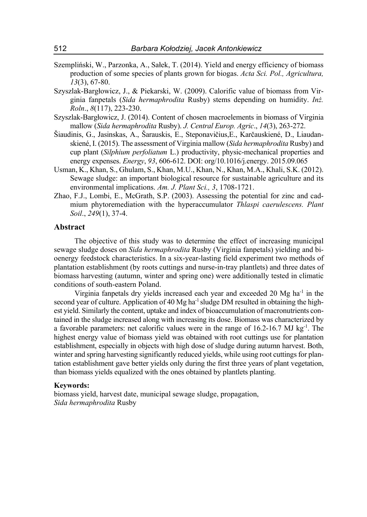- Szempliński, W., Parzonka, A., Sałek, T. (2014). Yield and energy efficiency of biomass production of some species of plants grown for biogas. *Acta Sci. Pol., Agricultura, 13*(3), 67-80.
- Szyszlak-Bargłowicz, J., & Piekarski, W. (2009). Calorific value of biomass from Virginia fanpetals (*Sida hermaphrodita* Rusby) stems depending on humidity. *Inż. Roln*., *8*(117), 223-230.
- Szyszlak-Bargłowicz, J. (2014). Content of chosen macroelements in biomass of Virginia mallow (*Sida hermaphrodita* Rusby). *J. Central Europ. Agric*., *14*(3), 263-272.
- Šiaudinis, G., Jasinskas, A., Šarauskis, E., Steponavičius,E., Karčauskiené, D., Liaudanskiené, I. (2015). The assessment of Virginia mallow (*Sida hermaphrodita* Rusby) and cup plant (*Silphium perfoliatum* L.) productivity, physic-mechanical properties and energy expenses. *Energy*, *93*, 606-612. DOI: org/10.1016/j.energy. 2015.09.065
- Usman, K., Khan, S., Ghulam, S., Khan, M.U., Khan, N., Khan, M.A., Khali, S.K. (2012). Sewage sludge: an important biological resource for sustainable agriculture and its environmental implications. *Am. J. Plant Sci., 3*, 1708-1721.
- Zhao, F.J., Lombi, E., McGrath, S.P. (2003). Assessing the potential for zinc and cadmium phytoremediation with the hyperaccumulator *Thlaspi caerulescens. Plant Soil*., *249*(1), 37-4.

#### **Abstract**

The objective of this study was to determine the effect of increasing municipal sewage sludge doses on *Sida hermaphrodita* Rusby (Virginia fanpetals) yielding and bioenergy feedstock characteristics. In a six-year-lasting field experiment two methods of plantation establishment (by roots cuttings and nurse-in-tray plantlets) and three dates of biomass harvesting (autumn, winter and spring one) were additionally tested in climatic conditions of south-eastern Poland.

Virginia fanpetals dry yields increased each year and exceeded 20  $Mg$  ha<sup>-1</sup> in the second year of culture. Application of 40  $Mg$  ha<sup>-1</sup> sludge DM resulted in obtaining the highest yield. Similarly the content, uptake and index of bioaccumulation of macronutrients contained in the sludge increased along with increasing its dose. Biomass was characterized by a favorable parameters: net calorific values were in the range of  $16.2$ -16.7 MJ kg<sup>-1</sup>. The highest energy value of biomass yield was obtained with root cuttings use for plantation establishment, especially in objects with high dose of sludge during autumn harvest. Both, winter and spring harvesting significantly reduced yields, while using root cuttings for plantation establishment gave better yields only during the first three years of plant vegetation, than biomass yields equalized with the ones obtained by plantlets planting.

#### **Keywords:**

biomass yield, harvest date, municipal sewage sludge, propagation, *Sida hermaphrodita* Rusby